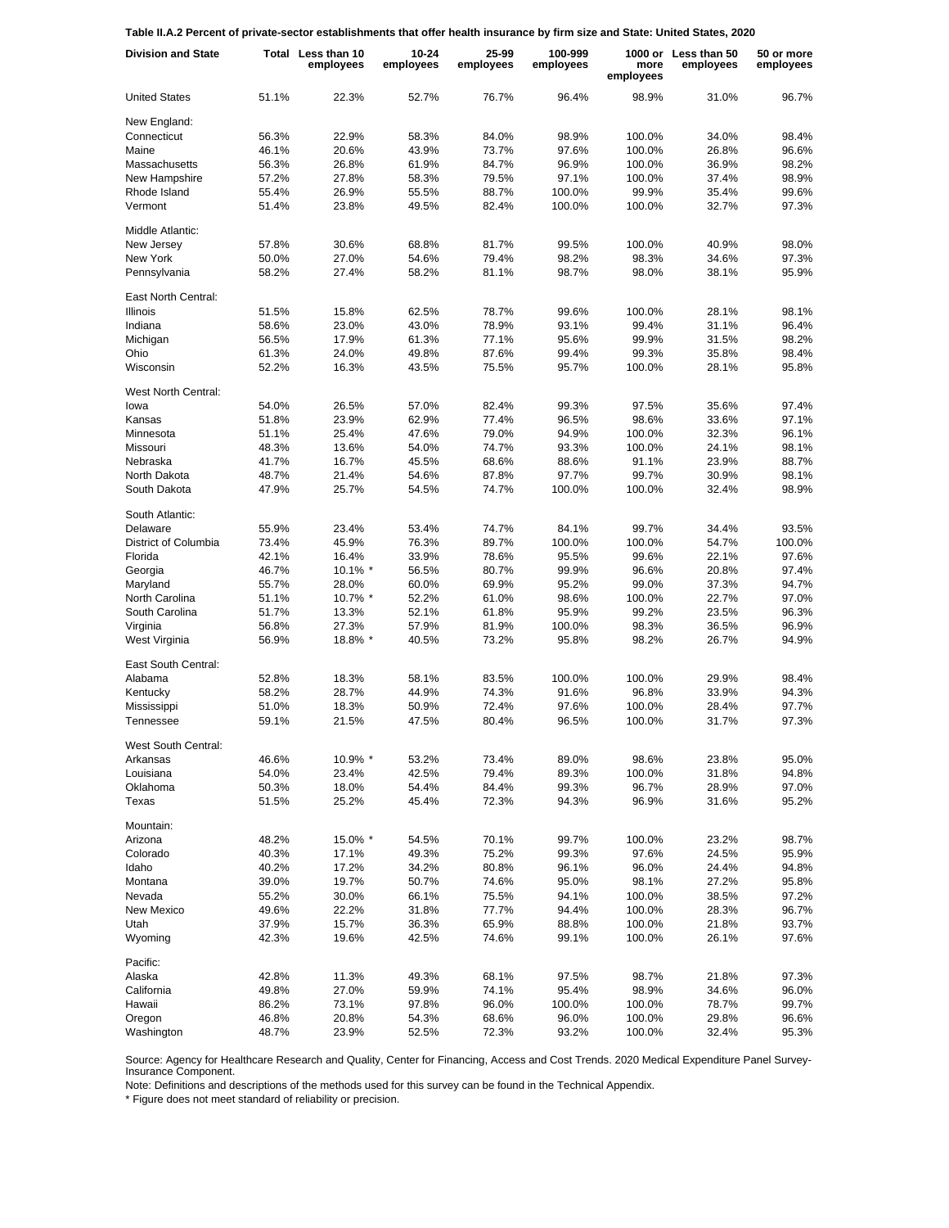**Table II.A.2 Percent of private-sector establishments that offer health insurance by firm size and State: United States, 2020**

| <b>Division and State</b> |       | Total Less than 10<br>employees | $10 - 24$<br>employees | 25-99<br>employees | 100-999<br>employees | more<br>employees | 1000 or Less than 50<br>employees | 50 or more<br>employees |
|---------------------------|-------|---------------------------------|------------------------|--------------------|----------------------|-------------------|-----------------------------------|-------------------------|
| <b>United States</b>      | 51.1% | 22.3%                           | 52.7%                  | 76.7%              | 96.4%                | 98.9%             | 31.0%                             | 96.7%                   |
| New England:              |       |                                 |                        |                    |                      |                   |                                   |                         |
| Connecticut               | 56.3% | 22.9%                           | 58.3%                  | 84.0%              | 98.9%                | 100.0%            | 34.0%                             | 98.4%                   |
| Maine                     | 46.1% | 20.6%                           | 43.9%                  | 73.7%              | 97.6%                | 100.0%            | 26.8%                             | 96.6%                   |
| Massachusetts             | 56.3% | 26.8%                           | 61.9%                  | 84.7%              | 96.9%                | 100.0%            | 36.9%                             | 98.2%                   |
| New Hampshire             | 57.2% | 27.8%                           | 58.3%                  | 79.5%              | 97.1%                | 100.0%            | 37.4%                             | 98.9%                   |
| Rhode Island              | 55.4% | 26.9%                           | 55.5%                  | 88.7%              | 100.0%               | 99.9%             | 35.4%                             | 99.6%                   |
| Vermont                   | 51.4% | 23.8%                           | 49.5%                  | 82.4%              | 100.0%               | 100.0%            | 32.7%                             | 97.3%                   |
| Middle Atlantic:          |       |                                 |                        |                    |                      |                   |                                   |                         |
| New Jersey                | 57.8% | 30.6%                           | 68.8%                  | 81.7%              | 99.5%                | 100.0%            | 40.9%                             | 98.0%                   |
| New York                  | 50.0% | 27.0%                           | 54.6%                  | 79.4%              | 98.2%                | 98.3%             | 34.6%                             | 97.3%                   |
| Pennsylvania              | 58.2% | 27.4%                           | 58.2%                  | 81.1%              | 98.7%                | 98.0%             | 38.1%                             | 95.9%                   |
| East North Central:       |       |                                 |                        |                    |                      |                   |                                   |                         |
| <b>Illinois</b>           | 51.5% | 15.8%                           | 62.5%                  | 78.7%              | 99.6%                | 100.0%            | 28.1%                             | 98.1%                   |
| Indiana                   | 58.6% | 23.0%                           | 43.0%                  | 78.9%              | 93.1%                | 99.4%             | 31.1%                             | 96.4%                   |
| Michigan                  | 56.5% | 17.9%                           | 61.3%                  | 77.1%              | 95.6%                | 99.9%             | 31.5%                             | 98.2%                   |
| Ohio                      | 61.3% | 24.0%                           | 49.8%                  | 87.6%              | 99.4%                | 99.3%             | 35.8%                             | 98.4%                   |
| Wisconsin                 | 52.2% | 16.3%                           | 43.5%                  | 75.5%              | 95.7%                | 100.0%            | 28.1%                             | 95.8%                   |
| West North Central:       |       |                                 |                        |                    |                      |                   |                                   |                         |
| lowa                      | 54.0% | 26.5%                           | 57.0%                  | 82.4%              | 99.3%                | 97.5%             | 35.6%                             | 97.4%                   |
| Kansas                    | 51.8% | 23.9%                           | 62.9%                  | 77.4%              | 96.5%                | 98.6%             | 33.6%                             | 97.1%                   |
| Minnesota                 | 51.1% | 25.4%                           | 47.6%                  | 79.0%              | 94.9%                | 100.0%            | 32.3%                             | 96.1%                   |
| Missouri                  | 48.3% | 13.6%                           | 54.0%                  | 74.7%              | 93.3%                | 100.0%            | 24.1%                             | 98.1%                   |
| Nebraska                  | 41.7% | 16.7%                           | 45.5%                  | 68.6%              | 88.6%                | 91.1%             | 23.9%                             | 88.7%                   |
| North Dakota              | 48.7% | 21.4%                           | 54.6%                  | 87.8%              | 97.7%                | 99.7%             | 30.9%                             | 98.1%                   |
| South Dakota              | 47.9% | 25.7%                           | 54.5%                  | 74.7%              | 100.0%               | 100.0%            | 32.4%                             | 98.9%                   |
| South Atlantic:           |       |                                 |                        |                    |                      |                   |                                   |                         |
| Delaware                  | 55.9% | 23.4%                           | 53.4%                  | 74.7%              | 84.1%                | 99.7%             | 34.4%                             | 93.5%                   |
| District of Columbia      | 73.4% | 45.9%                           | 76.3%                  | 89.7%              | 100.0%               | 100.0%            | 54.7%                             | 100.0%                  |
| Florida                   | 42.1% | 16.4%                           | 33.9%                  | 78.6%              | 95.5%                | 99.6%             | 22.1%                             | 97.6%                   |
| Georgia                   | 46.7% | $10.1\%$ *                      | 56.5%                  | 80.7%              | 99.9%                | 96.6%             | 20.8%                             | 97.4%                   |
| Maryland                  | 55.7% | 28.0%                           | 60.0%                  | 69.9%              | 95.2%                | 99.0%             | 37.3%                             | 94.7%                   |
| North Carolina            | 51.1% | 10.7% *                         | 52.2%                  | 61.0%              | 98.6%                | 100.0%            | 22.7%                             | 97.0%                   |
| South Carolina            | 51.7% | 13.3%                           | 52.1%                  | 61.8%              | 95.9%                | 99.2%             | 23.5%                             | 96.3%                   |
| Virginia                  | 56.8% | 27.3%                           | 57.9%                  | 81.9%              | 100.0%               | 98.3%             | 36.5%                             | 96.9%                   |
| West Virginia             | 56.9% | 18.8% *                         | 40.5%                  | 73.2%              | 95.8%                | 98.2%             | 26.7%                             | 94.9%                   |
| East South Central:       |       |                                 |                        |                    |                      |                   |                                   |                         |
| Alabama                   | 52.8% | 18.3%                           | 58.1%                  | 83.5%              | 100.0%               | 100.0%            | 29.9%                             | 98.4%                   |
| Kentucky                  | 58.2% | 28.7%                           | 44.9%                  | 74.3%              | 91.6%                | 96.8%             | 33.9%                             | 94.3%                   |
| Mississippi               | 51.0% | 18.3%                           | 50.9%                  | 72.4%              | 97.6%                | 100.0%            | 28.4%                             | 97.7%                   |
| Tennessee                 | 59.1% | 21.5%                           | 47.5%                  | 80.4%              | 96.5%                | 100.0%            | 31.7%                             | 97.3%                   |
| West South Central:       |       |                                 |                        |                    |                      |                   |                                   |                         |
| Arkansas                  | 46.6% | 10.9% *                         | 53.2%                  | 73.4%              | 89.0%                | 98.6%             | 23.8%                             | 95.0%                   |
| Louisiana                 | 54.0% | 23.4%                           | 42.5%                  | 79.4%              | 89.3%                | 100.0%            | 31.8%                             | 94.8%                   |
| Oklahoma                  | 50.3% | 18.0%                           | 54.4%                  | 84.4%              | 99.3%                | 96.7%             | 28.9%                             | 97.0%                   |
| Texas                     | 51.5% | 25.2%                           | 45.4%                  | 72.3%              | 94.3%                | 96.9%             | 31.6%                             | 95.2%                   |
| Mountain:                 |       |                                 |                        |                    |                      |                   |                                   |                         |
| Arizona                   | 48.2% | 15.0% *                         | 54.5%                  | 70.1%              | 99.7%                | 100.0%            | 23.2%                             | 98.7%                   |
| Colorado                  | 40.3% | 17.1%                           | 49.3%                  | 75.2%              | 99.3%                | 97.6%             | 24.5%                             | 95.9%                   |
| Idaho                     | 40.2% | 17.2%                           | 34.2%                  | 80.8%              | 96.1%                | 96.0%             | 24.4%                             | 94.8%                   |
| Montana                   | 39.0% | 19.7%                           | 50.7%                  | 74.6%              | 95.0%                | 98.1%             | 27.2%                             | 95.8%                   |
| Nevada                    | 55.2% | 30.0%                           | 66.1%                  | 75.5%              | 94.1%                | 100.0%            | 38.5%                             | 97.2%                   |
| New Mexico                | 49.6% | 22.2%                           | 31.8%                  | 77.7%              | 94.4%                | 100.0%            | 28.3%                             | 96.7%                   |
| Utah                      | 37.9% | 15.7%                           | 36.3%                  | 65.9%              | 88.8%                | 100.0%            | 21.8%                             | 93.7%                   |
| Wyoming                   | 42.3% | 19.6%                           | 42.5%                  | 74.6%              | 99.1%                | 100.0%            | 26.1%                             | 97.6%                   |
| Pacific:                  |       |                                 |                        |                    |                      |                   |                                   |                         |
| Alaska                    | 42.8% | 11.3%                           | 49.3%                  | 68.1%              | 97.5%                | 98.7%             | 21.8%                             | 97.3%                   |
| California                | 49.8% | 27.0%                           | 59.9%                  | 74.1%              | 95.4%                | 98.9%             | 34.6%                             | 96.0%                   |
| Hawaii                    | 86.2% | 73.1%                           | 97.8%                  | 96.0%              | 100.0%               | 100.0%            | 78.7%                             | 99.7%                   |
| Oregon                    | 46.8% | 20.8%                           | 54.3%                  | 68.6%              | 96.0%                | 100.0%            | 29.8%                             | 96.6%                   |
| Washington                | 48.7% | 23.9%                           | 52.5%                  | 72.3%              | 93.2%                | 100.0%            | 32.4%                             | 95.3%                   |

Source: Agency for Healthcare Research and Quality, Center for Financing, Access and Cost Trends. 2020 Medical Expenditure Panel Survey-Insurance Component.

Note: Definitions and descriptions of the methods used for this survey can be found in the Technical Appendix.

\* Figure does not meet standard of reliability or precision.